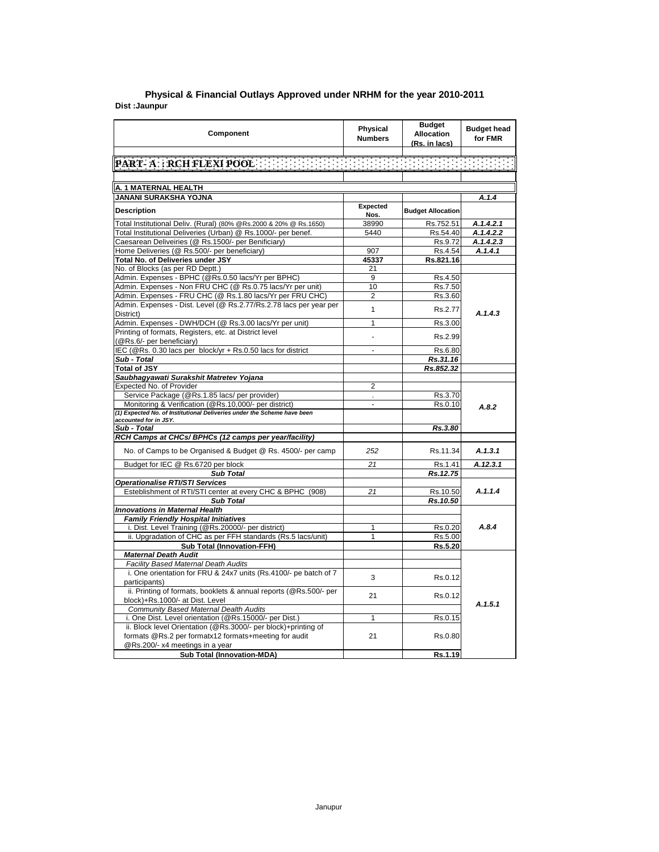| Component                                                                                              | Physical<br><b>Numbers</b> | <b>Budget</b><br><b>Allocation</b><br>(Rs. in lacs) | <b>Budget head</b><br>for FMR |
|--------------------------------------------------------------------------------------------------------|----------------------------|-----------------------------------------------------|-------------------------------|
|                                                                                                        |                            |                                                     |                               |
| PART-A : RCH.FLEXI POOL : EEEEEEEEEEEEEEEEEEEEEEEEEEEEEEE                                              |                            |                                                     |                               |
|                                                                                                        |                            |                                                     |                               |
| A. 1 MATERNAL HEALTH                                                                                   |                            |                                                     |                               |
| <b>JANANI SURAKSHA YOJNA</b>                                                                           |                            |                                                     | A.1.4                         |
|                                                                                                        | Expected                   |                                                     |                               |
| <b>Description</b>                                                                                     | Nos.                       | <b>Budget Allocation</b>                            |                               |
| Total Institutional Deliv. (Rural) (80% @Rs.2000 & 20% @ Rs.1650)                                      | 38990                      | Rs.752.51                                           | A.1.4.2.1                     |
| Total Institutional Deliveries (Urban) @ Rs.1000/- per benef.                                          | 5440                       | Rs.54.40                                            | A.1.4.2.2                     |
| Caesarean Deliveiries (@ Rs.1500/- per Benificiary)                                                    |                            | Rs.9.72                                             | A.1.4.2.3                     |
| Home Deliveries (@ Rs.500/- per beneficiary)                                                           | 907                        | Rs.4.54                                             | A.1.4.1                       |
| Total No. of Deliveries under JSY                                                                      | 45337                      | Rs.821.16                                           |                               |
| No. of Blocks (as per RD Deptt.)                                                                       | 21                         |                                                     |                               |
| Admin. Expenses - BPHC (@Rs.0.50 lacs/Yr per BPHC)                                                     | 9                          | Rs.4.50                                             |                               |
| Admin. Expenses - Non FRU CHC (@ Rs.0.75 lacs/Yr per unit)                                             | 10                         | Rs.7.50                                             |                               |
| Admin. Expenses - FRU CHC (@ Rs.1.80 lacs/Yr per FRU CHC)                                              | 2                          | Rs.3.60                                             |                               |
| Admin. Expenses - Dist. Level (@ Rs.2.77/Rs.2.78 lacs per year per                                     |                            |                                                     |                               |
| District)                                                                                              | 1                          | Rs.2.77                                             | A.1.4.3                       |
| Admin. Expenses - DWH/DCH (@ Rs.3.00 lacs/Yr per unit)                                                 | $\overline{1}$             | Rs.3.00                                             |                               |
| Printing of formats, Registers, etc. at District level                                                 |                            |                                                     |                               |
| (@Rs.6/- per beneficiary)                                                                              | $\overline{a}$             | Rs.2.99                                             |                               |
| IEC (@Rs. 0.30 lacs per block/yr + Rs.0.50 lacs for district                                           | ÷,                         | Rs.6.80                                             |                               |
| Sub - Total                                                                                            |                            | Rs.31.16                                            |                               |
| <b>Total of JSY</b>                                                                                    |                            | Rs.852.32                                           |                               |
| Saubhagyawati Surakshit Matretev Yojana                                                                |                            |                                                     |                               |
| Expected No. of Provider                                                                               | $\overline{2}$             |                                                     |                               |
|                                                                                                        |                            | Rs.3.70                                             |                               |
| Service Package (@Rs.1.85 lacs/ per provider)<br>Monitoring & Verification (@Rs.10,000/- per district) | L.                         |                                                     |                               |
| (1) Expected No. of Institutional Deliveries under the Scheme have been                                |                            | Rs.0.10                                             | A.8.2                         |
| accounted for in JSY.                                                                                  |                            |                                                     |                               |
| Sub - Total                                                                                            |                            | Rs.3.80                                             |                               |
| RCH Camps at CHCs/ BPHCs (12 camps per year/facility)                                                  |                            |                                                     |                               |
|                                                                                                        |                            |                                                     |                               |
| No. of Camps to be Organised & Budget @ Rs. 4500/- per camp                                            | 252                        | Rs.11.34                                            | A.1.3.1                       |
| Budget for IEC @ Rs.6720 per block                                                                     | 21                         | Rs.1.41                                             | A.12.3.1                      |
| <b>Sub Total</b>                                                                                       |                            | Rs. 12.75                                           |                               |
| Operationalise RTI/STI Services                                                                        |                            |                                                     |                               |
| Esteblishment of RTI/STI center at every CHC & BPHC (908)                                              | 21                         | Rs.10.50                                            | A.1.1.4                       |
| <b>Sub Total</b>                                                                                       |                            | Rs.10.50                                            |                               |
| <b>Innovations in Maternal Health</b>                                                                  |                            |                                                     |                               |
| <b>Family Friendly Hospital Initiatives</b>                                                            |                            |                                                     |                               |
| i. Dist. Level Training (@Rs.20000/- per district)                                                     | 1                          | Rs.0.20                                             | A.8.4                         |
| ii. Upgradation of CHC as per FFH standards (Rs.5 lacs/unit)                                           | 1                          | Rs.5.00                                             |                               |
| <b>Sub Total (Innovation-FFH)</b>                                                                      |                            | Rs.5.20                                             |                               |
| <b>Maternal Death Audit</b>                                                                            |                            |                                                     |                               |
| Facility Based Maternal Death Audits                                                                   |                            |                                                     |                               |
| i. One orientation for FRU & 24x7 units (Rs.4100/- pe batch of 7                                       |                            |                                                     |                               |
| participants)                                                                                          | 3                          | Rs.0.12                                             |                               |
| ii. Printing of formats, booklets & annual reports (@Rs.500/- per                                      |                            |                                                     |                               |
| block)+Rs.1000/- at Dist. Level                                                                        | 21                         | Rs.0.12                                             |                               |
| Community Based Maternal Dealth Audits                                                                 |                            |                                                     | A.1.5.1                       |
| i. One Dist. Level orientation (@Rs.15000/- per Dist.)                                                 | 1                          | Rs.0.15                                             |                               |
| ii. Block level Orientation (@Rs.3000/- per block)+printing of                                         |                            |                                                     |                               |
| formats @Rs.2 per formatx12 formats+meeting for audit                                                  | 21                         | Rs.0.80                                             |                               |
| @Rs.200/- x4 meetings in a year                                                                        |                            |                                                     |                               |
| <b>Sub Total (Innovation-MDA)</b>                                                                      |                            | Rs.1.19                                             |                               |
|                                                                                                        |                            |                                                     |                               |

## **Dist :Jaunpur District : Agra Physical & Financial Outlays Approved under NRHM for the year 2010-2011**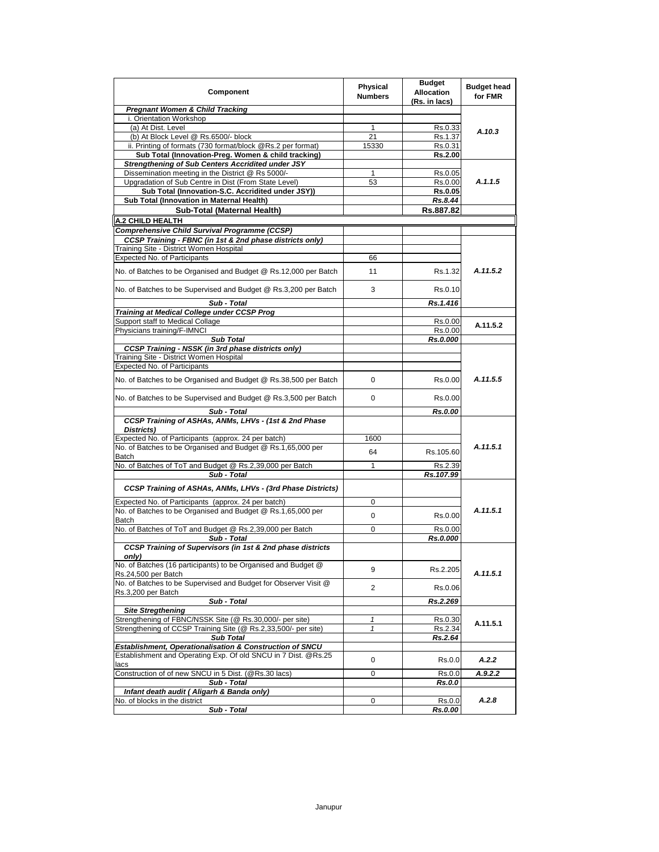| Component                                                                                                                  | <b>Physical</b><br><b>Numbers</b> | <b>Budget</b><br><b>Allocation</b><br>(Rs. in lacs) | <b>Budget head</b><br>for FMR |
|----------------------------------------------------------------------------------------------------------------------------|-----------------------------------|-----------------------------------------------------|-------------------------------|
| <b>Pregnant Women &amp; Child Tracking</b>                                                                                 |                                   |                                                     |                               |
| i. Orientation Workshop                                                                                                    |                                   |                                                     |                               |
| (a) At Dist. Level                                                                                                         | 1                                 | Rs.0.33                                             | A.10.3                        |
| (b) At Block Level @ Rs.6500/- block                                                                                       | 21                                | Rs.1.37                                             |                               |
| ii. Printing of formats (730 format/block @Rs.2 per format)                                                                | 15330                             | Rs.0.31                                             |                               |
| Sub Total (Innovation-Preg. Women & child tracking)                                                                        |                                   | Rs.2.00                                             |                               |
| Strengthening of Sub Centers Accridited under JSY<br>Dissemination meeting in the District @ Rs 5000/-                     | 1                                 |                                                     |                               |
| Upgradation of Sub Centre in Dist (From State Level)                                                                       | 53                                | Rs.0.05<br>Rs.0.00                                  | A.1.1.5                       |
| Sub Total (Innovation-S.C. Accridited under JSY))                                                                          |                                   | Rs.0.05                                             |                               |
| Sub Total (Innovation in Maternal Health)                                                                                  |                                   | Rs.8.44                                             |                               |
| Sub-Total (Maternal Health)                                                                                                |                                   | Rs.887.82                                           |                               |
|                                                                                                                            |                                   |                                                     |                               |
| <b>A.2 CHILD HEALTH</b>                                                                                                    |                                   |                                                     |                               |
| Comprehensive Child Survival Programme (CCSP)                                                                              |                                   |                                                     |                               |
| CCSP Training - FBNC (in 1st & 2nd phase districts only)                                                                   |                                   |                                                     |                               |
| Training Site - District Women Hospital                                                                                    |                                   |                                                     |                               |
| Expected No. of Participants                                                                                               | 66                                |                                                     |                               |
| No. of Batches to be Organised and Budget @ Rs.12,000 per Batch                                                            | 11                                | Rs.1.32                                             | A.11.5.2                      |
| No. of Batches to be Supervised and Budget @ Rs.3,200 per Batch                                                            | 3                                 | Rs.0.10                                             |                               |
| Sub - Total                                                                                                                |                                   | Rs.1.416                                            |                               |
| Training at Medical College under CCSP Prog                                                                                |                                   |                                                     |                               |
| Support staff to Medical Collage                                                                                           |                                   | Rs.0.00                                             | A.11.5.2                      |
| Physicians training/F-IMNCI                                                                                                |                                   | Rs.0.00                                             |                               |
| <b>Sub Total</b>                                                                                                           |                                   | Rs.0.000                                            |                               |
| <b>CCSP Training - NSSK (in 3rd phase districts only)</b>                                                                  |                                   |                                                     |                               |
| Training Site - District Women Hospital                                                                                    |                                   |                                                     |                               |
| <b>Expected No. of Participants</b>                                                                                        |                                   |                                                     |                               |
| No. of Batches to be Organised and Budget @ Rs.38,500 per Batch                                                            | 0                                 | Rs.0.00                                             | A.11.5.5                      |
| No. of Batches to be Supervised and Budget @ Rs.3,500 per Batch                                                            | $\mathbf 0$                       | Rs.0.00                                             |                               |
| Sub - Total                                                                                                                |                                   | Rs.0.00                                             |                               |
| CCSP Training of ASHAs, ANMs, LHVs - (1st & 2nd Phase<br>Districts)                                                        |                                   |                                                     |                               |
| Expected No. of Participants (approx. 24 per batch)                                                                        | 1600                              |                                                     |                               |
| No. of Batches to be Organised and Budget @ Rs.1,65,000 per                                                                | 64                                | Rs.105.60                                           | A.11.5.1                      |
| Batch                                                                                                                      |                                   |                                                     |                               |
| No. of Batches of ToT and Budget @ Rs.2,39,000 per Batch                                                                   | 1                                 | Rs.2.39                                             |                               |
| Sub - Total                                                                                                                |                                   | Rs.107.99                                           |                               |
| CCSP Training of ASHAs, ANMs, LHVs - (3rd Phase Districts)                                                                 |                                   |                                                     |                               |
| Expected No. of Participants (approx. 24 per batch)                                                                        | 0                                 |                                                     |                               |
| No. of Batches to be Organised and Budget @ Rs.1,65,000 per<br>Batch                                                       | 0                                 | Rs.0.00                                             | A.11.5.1                      |
| No. of Batches of ToT and Budget @ Rs.2,39,000 per Batch                                                                   | 0                                 | Rs.0.00                                             |                               |
| Sub - Total                                                                                                                |                                   | Rs.0.000                                            |                               |
| CCSP Training of Supervisors (in 1st & 2nd phase districts<br>only)                                                        |                                   |                                                     |                               |
| No. of Batches (16 participants) to be Organised and Budget @                                                              | 9                                 | Rs.2.205                                            | A.11.5.1                      |
| Rs.24,500 per Batch<br>No. of Batches to be Supervised and Budget for Observer Visit @                                     | 2                                 | Rs.0.06                                             |                               |
| Rs.3,200 per Batch                                                                                                         |                                   |                                                     |                               |
| Sub - Total                                                                                                                |                                   | Rs.2.269                                            |                               |
| <b>Site Stregthening</b>                                                                                                   |                                   |                                                     |                               |
| Strengthening of FBNC/NSSK Site (@ Rs.30,000/- per site)                                                                   | $\mathbf{1}$                      | Rs.0.30                                             | A.11.5.1                      |
| Strengthening of CCSP Training Site (@ Rs.2,33,500/- per site)                                                             | $\mathbf{1}$                      | Rs.2.34                                             |                               |
| <b>Sub Total</b>                                                                                                           |                                   | Rs.2.64                                             |                               |
| Establishment, Operationalisation & Construction of SNCU<br>Establishment and Operating Exp. Of old SNCU in 7 Dist. @Rs.25 | 0                                 | Rs.0.0                                              | A.2.2                         |
| lacs                                                                                                                       |                                   |                                                     |                               |
| Construction of of new SNCU in 5 Dist. (@Rs.30 lacs)                                                                       | 0                                 | Rs.0.0                                              | A.9.2.2                       |
| Sub - Total                                                                                                                |                                   | Rs.0.0                                              |                               |
| Infant death audit (Aligarh & Banda only)                                                                                  |                                   |                                                     | A.2.8                         |
| No. of blocks in the district<br>Sub - Total                                                                               | 0                                 | Rs.0.0<br>Rs.0.00                                   |                               |
|                                                                                                                            |                                   |                                                     |                               |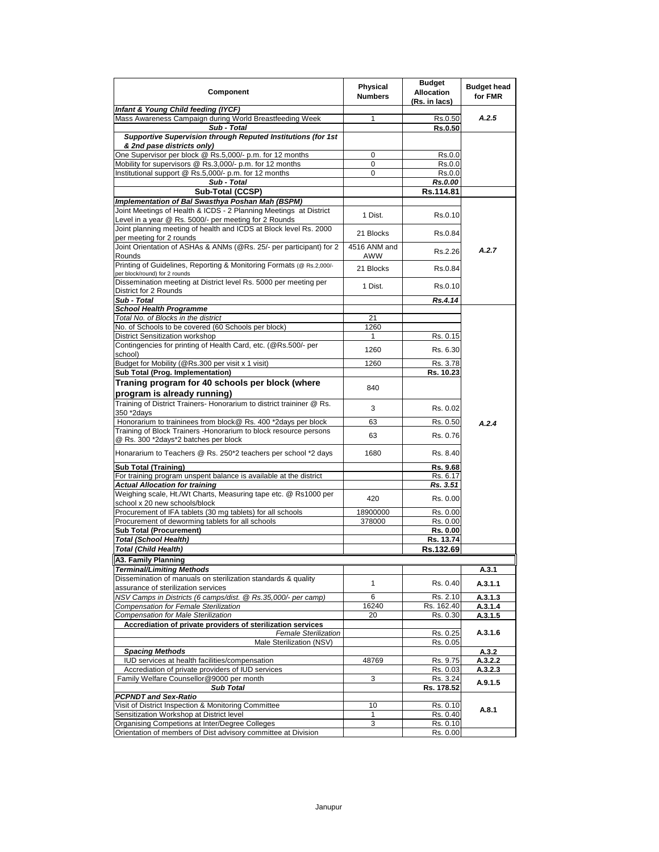| Component                                                                                                                  | Physical<br><b>Numbers</b> | <b>Budget</b><br><b>Allocation</b><br>(Rs. in lacs) | <b>Budget head</b><br>for FMR |
|----------------------------------------------------------------------------------------------------------------------------|----------------------------|-----------------------------------------------------|-------------------------------|
| Infant & Young Child feeding (IYCF)                                                                                        |                            |                                                     |                               |
| Mass Awareness Campaign during World Breastfeeding Week                                                                    | 1                          | Rs.0.50                                             | A.2.5                         |
| Sub - Total<br>Supportive Supervision through Reputed Institutions (for 1st<br>& 2nd pase districts only)                  |                            | <b>Rs.0.50</b>                                      |                               |
| One Supervisor per block @ Rs.5,000/- p.m. for 12 months                                                                   | 0                          | Rs.0.0                                              |                               |
| Mobility for supervisors @ Rs.3,000/- p.m. for 12 months                                                                   | 0                          | Rs.0.0                                              |                               |
| Institutional support @ Rs.5,000/- p.m. for 12 months                                                                      | 0                          | Rs.0.0                                              |                               |
| Sub - Total                                                                                                                |                            | Rs.0.00                                             |                               |
| Sub-Total (CCSP)                                                                                                           |                            | Rs.114.81                                           |                               |
| Implementation of Bal Swasthya Poshan Mah (BSPM)                                                                           |                            |                                                     |                               |
| Joint Meetings of Health & ICDS - 2 Planning Meetings at District<br>Level in a year @ Rs. 5000/- per meeting for 2 Rounds | 1 Dist.                    | Rs.0.10                                             |                               |
| Joint planning meeting of health and ICDS at Block level Rs. 2000<br>per meeting for 2 rounds                              | 21 Blocks                  | Rs.0.84                                             |                               |
| Joint Orientation of ASHAs & ANMs (@Rs. 25/- per participant) for 2<br>Rounds                                              | 4516 ANM and<br>AWW        | Rs.2.26                                             | A.2.7                         |
| Printing of Guidelines, Reporting & Monitoring Formats (@ Rs.2,000/-<br>per block/round) for 2 rounds                      | 21 Blocks                  | Rs.0.84                                             |                               |
| Dissemination meeting at District level Rs. 5000 per meeting per<br>District for 2 Rounds                                  | 1 Dist.                    | Rs.0.10                                             |                               |
| Sub - Total                                                                                                                |                            | Rs.4.14                                             |                               |
| <b>School Health Programme</b>                                                                                             |                            |                                                     |                               |
| Total No. of Blocks in the district                                                                                        | 21                         |                                                     |                               |
| No. of Schools to be covered (60 Schools per block)<br><b>District Sensitization workshop</b>                              | 1260<br>1                  | Rs. 0.15                                            |                               |
| Contingencies for printing of Health Card, etc. (@Rs.500/- per                                                             |                            |                                                     |                               |
| school)                                                                                                                    | 1260                       | Rs. 6.30                                            |                               |
| Budget for Mobility (@Rs.300 per visit x 1 visit)                                                                          | 1260                       | Rs. 3.78                                            |                               |
| Sub Total (Prog. Implementation)                                                                                           |                            | Rs. 10.23                                           |                               |
| Traning program for 40 schools per block (where<br>program is already running)                                             | 840                        |                                                     |                               |
| Training of District Trainers- Honorarium to district traininer @ Rs.<br>350 *2days                                        | 3                          | Rs. 0.02                                            |                               |
| Honorarium to traininees from block@ Rs. 400 *2days per block                                                              | 63                         | Rs. 0.50                                            | A.2.4                         |
| Training of Block Trainers - Honorarium to block resource persons<br>@ Rs. 300 *2days*2 batches per block                  | 63                         | Rs. 0.76                                            |                               |
| Honararium to Teachers @ Rs. 250*2 teachers per school *2 days                                                             | 1680                       | Rs. 8.40                                            |                               |
| <b>Sub Total (Training)</b>                                                                                                |                            | Rs. 9.68                                            |                               |
| For training program unspent balance is available at the district                                                          |                            | Rs. 6.17                                            |                               |
| <b>Actual Allocation for training</b>                                                                                      |                            | Rs. 3.51                                            |                               |
| Weighing scale, Ht./Wt Charts, Measuring tape etc. @ Rs1000 per<br>school x 20 new schools/block                           | 420                        | Rs. 0.00                                            |                               |
| Procurement of IFA tablets (30 mg tablets) for all schools                                                                 | 18900000                   | Rs. 0.00                                            |                               |
| Procurement of deworming tablets for all schools                                                                           | 378000                     | Rs. 0.00                                            |                               |
| <b>Sub Total (Procurement)</b>                                                                                             |                            | Rs. 0.00                                            |                               |
| <b>Total (School Health)</b>                                                                                               |                            | Rs. 13.74                                           |                               |
| <b>Total (Child Health)</b>                                                                                                |                            | Rs.132.69                                           |                               |
| A3. Family Planning<br><b>Terminal/Limiting Methods</b>                                                                    |                            |                                                     | A.3.1                         |
| Dissemination of manuals on sterilization standards & quality                                                              | 1                          | Rs. 0.40                                            | A.3.1.1                       |
| assurance of sterilization services<br>NSV Camps in Districts (6 camps/dist. @ Rs.35,000/- per camp)                       | 6                          | Rs. 2.10                                            | A.3.1.3                       |
| Compensation for Female Sterilization                                                                                      | 16240                      | Rs. 162.40                                          | A.3.1.4                       |
| <b>Compensation for Male Sterilization</b>                                                                                 | 20                         | Rs. 0.30                                            | A.3.1.5                       |
| Accrediation of private providers of sterilization services<br><b>Female Sterilization</b>                                 |                            | Rs. 0.25                                            | A.3.1.6                       |
| Male Sterilization (NSV)                                                                                                   |                            | Rs. 0.05                                            |                               |
| <b>Spacing Methods</b><br>IUD services at health facilities/compensation                                                   | 48769                      | Rs. 9.75                                            | A.3.2                         |
| Accrediation of private providers of IUD services                                                                          |                            | Rs. 0.03                                            | A.3.2.2<br>A.3.2.3            |
| Family Welfare Counsellor@9000 per month                                                                                   | 3                          | Rs. 3.24                                            |                               |
| <b>Sub Total</b>                                                                                                           |                            | Rs. 178.52                                          | A.9.1.5                       |
| <b>PCPNDT and Sex-Ratio</b>                                                                                                |                            |                                                     |                               |
| Visit of District Inspection & Monitoring Committee                                                                        | 10                         | Rs. 0.10                                            | A.8.1                         |
| Sensitization Workshop at District level                                                                                   | 1<br>3                     | Rs. 0.40                                            |                               |
| Organising Competions at Inter/Degree Colleges<br>Orientation of members of Dist advisory committee at Division            |                            | Rs. 0.10<br>Rs. 0.00                                |                               |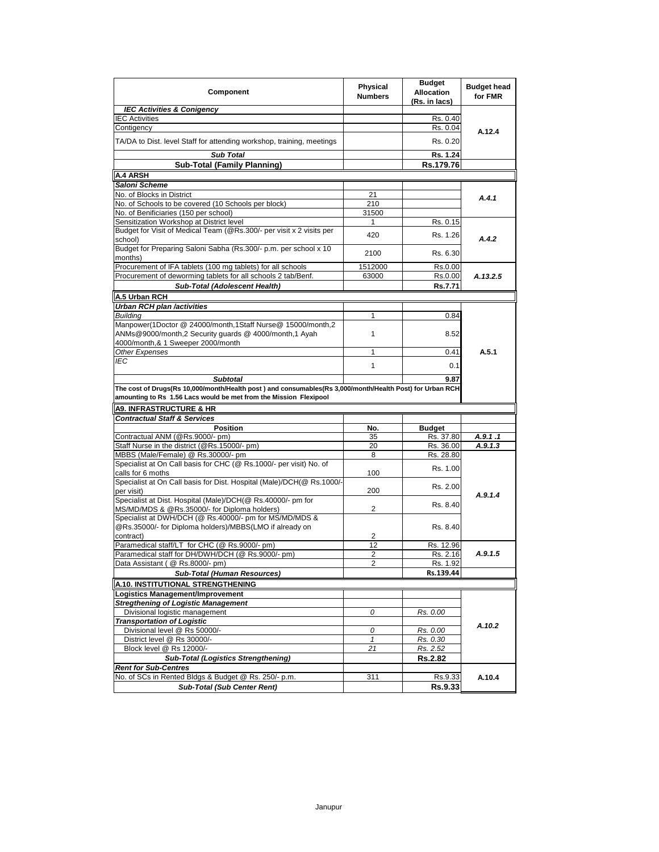| Component                                                                                                                                                                      | Physical<br><b>Numbers</b> | <b>Budget</b><br><b>Allocation</b><br>(Rs. in lacs) | <b>Budget head</b><br>for FMR |
|--------------------------------------------------------------------------------------------------------------------------------------------------------------------------------|----------------------------|-----------------------------------------------------|-------------------------------|
| <b>IEC Activities &amp; Conigency</b>                                                                                                                                          |                            |                                                     |                               |
| <b>IEC Activities</b>                                                                                                                                                          |                            | Rs. 0.40                                            |                               |
| Contigency                                                                                                                                                                     |                            | Rs. 0.04                                            | A.12.4                        |
| TA/DA to Dist. level Staff for attending workshop, training, meetings                                                                                                          |                            | Rs. 0.20                                            |                               |
| <b>Sub Total</b>                                                                                                                                                               |                            | Rs. 1.24                                            |                               |
| <b>Sub-Total (Family Planning)</b>                                                                                                                                             |                            | Rs.179.76                                           |                               |
| A.4 ARSH                                                                                                                                                                       |                            |                                                     |                               |
| Saloni Scheme                                                                                                                                                                  |                            |                                                     |                               |
| No. of Blocks in District                                                                                                                                                      | 21                         |                                                     |                               |
| No. of Schools to be covered (10 Schools per block)                                                                                                                            | 210                        |                                                     | A.4.1                         |
| No. of Benificiaries (150 per school)                                                                                                                                          | 31500                      |                                                     |                               |
| Sensitization Workshop at District level                                                                                                                                       | 1                          | Rs. 0.15                                            |                               |
| Budget for Visit of Medical Team (@Rs.300/- per visit x 2 visits per                                                                                                           |                            |                                                     |                               |
| school)                                                                                                                                                                        | 420                        | Rs. 1.26                                            | A.4.2                         |
| Budget for Preparing Saloni Sabha (Rs.300/- p.m. per school x 10<br>months)                                                                                                    | 2100                       | Rs. 6.30                                            |                               |
| Procurement of IFA tablets (100 mg tablets) for all schools                                                                                                                    | 1512000                    | Rs.0.00                                             |                               |
| Procurement of deworming tablets for all schools 2 tab/Benf.                                                                                                                   | 63000                      | Rs.0.00                                             | A.13.2.5                      |
| Sub-Total (Adolescent Health)                                                                                                                                                  |                            | <b>Rs.7.71</b>                                      |                               |
|                                                                                                                                                                                |                            |                                                     |                               |
| A.5 Urban RCH                                                                                                                                                                  |                            |                                                     |                               |
| Urban RCH plan /activities                                                                                                                                                     |                            |                                                     |                               |
| <b>Buildina</b>                                                                                                                                                                | 1                          | 0.84                                                |                               |
| Manpower(1Doctor @ 24000/month,1Staff Nurse@ 15000/month,2<br>ANMs@9000/month,2 Security quards @ 4000/month,1 Ayah                                                            | 1                          | 8.52                                                |                               |
| 4000/month,& 1 Sweeper 2000/month                                                                                                                                              |                            |                                                     |                               |
| <b>Other Expenses</b>                                                                                                                                                          | 1                          | 0.41                                                | A.5.1                         |
| IEC                                                                                                                                                                            | 1                          | 0.1                                                 |                               |
| <b>Subtotal</b>                                                                                                                                                                |                            |                                                     |                               |
| The cost of Drugs(Rs 10,000/month/Health post ) and consumables(Rs 3,000/month/Health Post) for Urban RCH<br>amounting to Rs 1.56 Lacs would be met from the Mission Flexipool |                            | 9.87                                                |                               |
| <b>A9. INFRASTRUCTURE &amp; HR</b>                                                                                                                                             |                            |                                                     |                               |
|                                                                                                                                                                                |                            |                                                     |                               |
| <b>Contractual Staff &amp; Services</b>                                                                                                                                        |                            |                                                     |                               |
| <b>Position</b>                                                                                                                                                                | No.                        | <b>Budget</b>                                       |                               |
| Contractual ANM (@Rs.9000/- pm)                                                                                                                                                | 35                         | Rs. 37.80                                           | A.9.1.1                       |
| Staff Nurse in the district (@Rs.15000/- pm)                                                                                                                                   | 20                         | Rs. 36.00                                           | A.9.1.3                       |
| MBBS (Male/Female) @ Rs.30000/- pm                                                                                                                                             | 8                          | Rs. 28.80                                           |                               |
| Specialist at On Call basis for CHC (@ Rs.1000/- per visit) No. of                                                                                                             |                            | Rs. 1.00                                            |                               |
| calls for 6 moths<br>Specialist at On Call basis for Dist. Hospital (Male)/DCH(@ Rs.1000/-                                                                                     | 100                        | Rs. 2.00                                            |                               |
| per visit)                                                                                                                                                                     | 200                        |                                                     | A.9.1.4                       |
| Specialist at Dist. Hospital (Male)/DCH(@ Rs.40000/- pm for                                                                                                                    |                            | Rs. 8.40                                            |                               |
| MS/MD/MDS & @Rs.35000/- for Diploma holders)<br>Specialist at DWH/DCH (@ Rs.40000/- pm for MS/MD/MDS &                                                                         | $\overline{2}$             |                                                     |                               |
| @Rs.35000/- for Diploma holders)/MBBS(LMO if already on                                                                                                                        |                            | Rs. 8.40                                            |                               |
| contract)                                                                                                                                                                      | 2                          |                                                     |                               |
| Paramedical staff/LT for CHC (@ Rs.9000/- pm)                                                                                                                                  | 12                         | Rs. 12.96                                           |                               |
| Paramedical staff for DH/DWH/DCH (@ Rs.9000/- pm)                                                                                                                              | 2                          | Rs. 2.16                                            | A.9.1.5                       |
| Data Assistant ( @ Rs.8000/- pm)                                                                                                                                               | 2                          | Rs. 1.92<br>Rs.139.44                               |                               |
| Sub-Total (Human Resources)                                                                                                                                                    |                            |                                                     |                               |
| A.10. INSTITUTIONAL STRENGTHENING                                                                                                                                              |                            |                                                     |                               |
| Logistics Management/Improvement                                                                                                                                               |                            |                                                     |                               |
| <b>Stregthening of Logistic Management</b>                                                                                                                                     | 0                          |                                                     |                               |
| Divisional logistic management                                                                                                                                                 |                            | Rs. 0.00                                            |                               |
| <b>Transportation of Logistic</b><br>Divisional level @ Rs 50000/-                                                                                                             | 0                          | Rs. 0.00                                            | A.10.2                        |
|                                                                                                                                                                                | $\mathbf{1}$               |                                                     |                               |
| District level @ Rs 30000/-<br>Block level @ Rs 12000/-                                                                                                                        | 21                         | Rs. 0.30                                            |                               |
|                                                                                                                                                                                |                            | Rs. 2.52                                            |                               |
| <b>Sub-Total (Logistics Strengthening)</b><br><b>Rent for Sub-Centres</b>                                                                                                      |                            | <b>Rs.2.82</b>                                      |                               |
| No. of SCs in Rented Bldgs & Budget @ Rs. 250/- p.m.                                                                                                                           | 311                        | Rs.9.33                                             | A.10.4                        |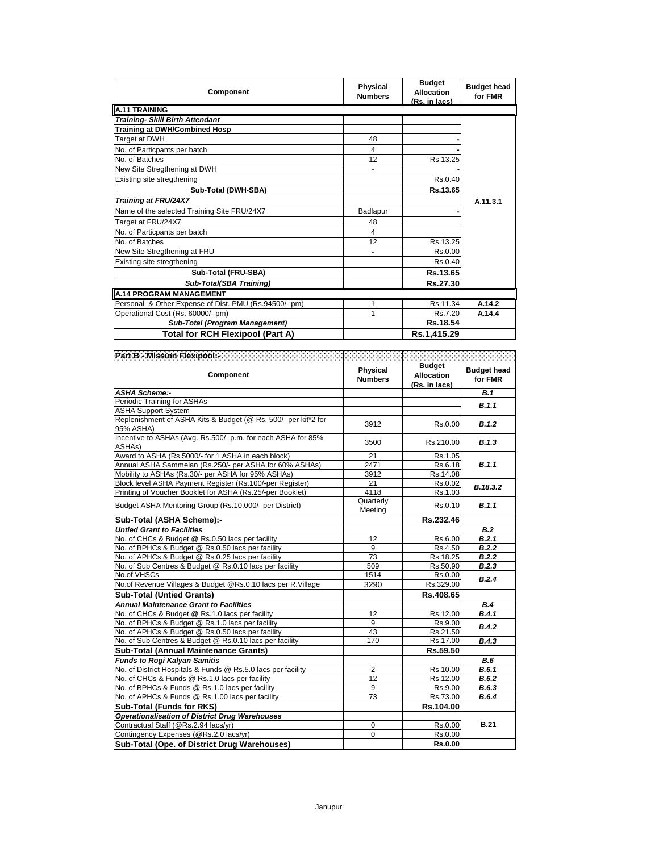| Component                                             | Physical<br><b>Numbers</b> | <b>Budget</b><br><b>Allocation</b><br>(Rs. in lacs) | <b>Budget head</b><br>for FMR |
|-------------------------------------------------------|----------------------------|-----------------------------------------------------|-------------------------------|
| <b>A.11 TRAINING</b>                                  |                            |                                                     |                               |
| <b>Training- Skill Birth Attendant</b>                |                            |                                                     |                               |
| Training at DWH/Combined Hosp                         |                            |                                                     |                               |
| Target at DWH                                         | 48                         |                                                     |                               |
| No. of Particpants per batch                          | 4                          |                                                     |                               |
| No. of Batches                                        | 12                         | Rs.13.25                                            |                               |
| New Site Stregthening at DWH                          |                            |                                                     |                               |
| Existing site stregthening                            |                            | Rs.0.40                                             |                               |
| Sub-Total (DWH-SBA)                                   |                            | Rs.13.65                                            |                               |
| Training at FRU/24X7                                  |                            |                                                     | A.11.3.1                      |
| Name of the selected Training Site FRU/24X7           | Badlapur                   |                                                     |                               |
| Target at FRU/24X7                                    | 48                         |                                                     |                               |
| No. of Particpants per batch                          | 4                          |                                                     |                               |
| No. of Batches                                        | 12                         | Rs.13.25                                            |                               |
| New Site Stregthening at FRU                          |                            | Rs.0.00                                             |                               |
| Existing site stregthening                            |                            | Rs.0.40                                             |                               |
| Sub-Total (FRU-SBA)                                   |                            | Rs.13.65                                            |                               |
| Sub-Total(SBA Training)                               |                            | Rs.27.30                                            |                               |
| <b>A.14 PROGRAM MANAGEMENT</b>                        |                            |                                                     |                               |
| Personal & Other Expense of Dist. PMU (Rs.94500/- pm) |                            | Rs.11.34                                            | A.14.2                        |
| Operational Cost (Rs. 60000/- pm)                     |                            | Rs.7.20                                             | A.14.4                        |
| Sub-Total (Program Management)                        |                            | Rs.18.54                                            |                               |
| Total for RCH Flexipool (Part A)                      |                            | Rs.1,415.29                                         |                               |

| Part B - Mission Flexipool: Williams                                                |                                   |                                                     |                               |
|-------------------------------------------------------------------------------------|-----------------------------------|-----------------------------------------------------|-------------------------------|
| Component                                                                           | <b>Physical</b><br><b>Numbers</b> | <b>Budget</b><br><b>Allocation</b><br>(Rs. in lacs) | <b>Budget head</b><br>for FMR |
| <b>ASHA Scheme:-</b>                                                                |                                   |                                                     | B.1                           |
| Periodic Training for ASHAs                                                         |                                   |                                                     | B.1.1                         |
| <b>ASHA Support System</b>                                                          |                                   |                                                     |                               |
| Replenishment of ASHA Kits & Budget (@ Rs. 500/- per kit*2 for<br>95% ASHA)         | 3912                              | Rs.0.00                                             | B.1.2                         |
| Incentive to ASHAs (Avg. Rs.500/- p.m. for each ASHA for 85%<br>ASHA <sub>s</sub> ) | 3500                              | Rs.210.00                                           | B.1.3                         |
| Award to ASHA (Rs.5000/- for 1 ASHA in each block)                                  | 21                                | Rs.1.05                                             |                               |
| Annual ASHA Sammelan (Rs.250/- per ASHA for 60% ASHAs)                              | 2471                              | Rs.6.18                                             | B.1.1                         |
| Mobility to ASHAs (Rs.30/- per ASHA for 95% ASHAs)                                  | 3912                              | Rs.14.08                                            |                               |
| Block level ASHA Payment Register (Rs.100/-per Register)                            | 21                                | Rs.0.02                                             | B.18.3.2                      |
| Printing of Voucher Booklet for ASHA (Rs.25/-per Booklet)                           | 4118                              | Rs.1.03                                             |                               |
| Budget ASHA Mentoring Group (Rs.10,000/- per District)                              | Quarterly<br>Meeting              | Rs.0.10                                             | B.1.1                         |
| Sub-Total (ASHA Scheme):-                                                           |                                   | Rs.232.46                                           |                               |
| <b>Untied Grant to Facilities</b>                                                   |                                   |                                                     | <b>B.2</b>                    |
| No. of CHCs & Budget @ Rs.0.50 lacs per facility                                    | 12                                | Rs.6.00                                             | B.2.1                         |
| No. of BPHCs & Budget @ Rs.0.50 lacs per facility                                   | 9                                 | Rs.4.50                                             | B.2.2                         |
| No. of APHCs & Budget @ Rs.0.25 lacs per facility                                   | 73                                | Rs.18.25                                            | B.2.2                         |
| No. of Sub Centres & Budget @ Rs.0.10 lacs per facility                             | 509                               | Rs.50.90                                            | B.2.3                         |
| No.of VHSCs                                                                         | 1514                              | Rs.0.00                                             | B.2.4                         |
| No.of Revenue Villages & Budget @Rs.0.10 lacs per R.Village                         | 3290                              | Rs.329.00                                           |                               |
| <b>Sub-Total (Untied Grants)</b>                                                    |                                   | Rs.408.65                                           |                               |
| <b>Annual Maintenance Grant to Facilities</b>                                       |                                   |                                                     | B.4                           |
| No. of CHCs & Budget @ Rs.1.0 lacs per facility                                     | 12                                | Rs.12.00                                            | B.4.1                         |
| No. of BPHCs & Budget @ Rs.1.0 lacs per facility                                    | 9                                 | Rs.9.00                                             | B.4.2                         |
| No. of APHCs & Budget @ Rs.0.50 lacs per facility                                   | 43                                | Rs.21.50                                            |                               |
| No. of Sub Centres & Budget @ Rs.0.10 lacs per facility                             | 170                               | Rs.17.00                                            | B.4.3                         |
| <b>Sub-Total (Annual Maintenance Grants)</b>                                        |                                   | Rs.59.50                                            |                               |
| <b>Funds to Rogi Kalyan Samitis</b>                                                 |                                   |                                                     | <b>B.6</b>                    |
| No. of District Hospitals & Funds @ Rs.5.0 lacs per facility                        | $\overline{2}$                    | Rs.10.00                                            | B.6.1                         |
| No. of CHCs & Funds @ Rs.1.0 lacs per facility                                      | 12                                | Rs.12.00                                            | B.6.2                         |
| No. of BPHCs & Funds @ Rs.1.0 lacs per facility                                     | 9                                 | Rs.9.00                                             | B.6.3                         |
| No. of APHCs & Funds @ Rs.1.00 lacs per facility                                    | 73                                | Rs.73.00                                            | B.6.4                         |
| <b>Sub-Total (Funds for RKS)</b>                                                    |                                   | Rs.104.00                                           |                               |
| <b>Operationalisation of District Drug Warehouses</b>                               |                                   |                                                     |                               |
| Contractual Staff (@Rs.2.94 lacs/yr)                                                | 0                                 | Rs.0.00                                             | <b>B.21</b>                   |
| Contingency Expenses (@Rs.2.0 lacs/yr)                                              | $\mathbf 0$                       | Rs.0.00                                             |                               |
| Sub-Total (Ope, of District Drug Warehouses)                                        |                                   | <b>Rs.0.00</b>                                      |                               |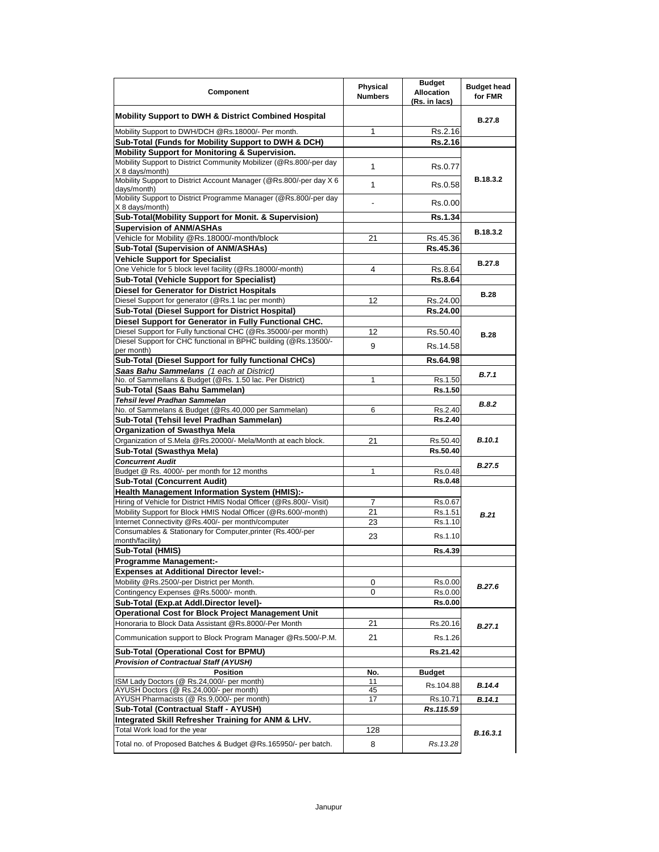| Component                                                                                                                             | Physical<br><b>Numbers</b> | <b>Budget</b><br><b>Allocation</b><br>(Rs. in lacs) | <b>Budget head</b><br>for FMR |
|---------------------------------------------------------------------------------------------------------------------------------------|----------------------------|-----------------------------------------------------|-------------------------------|
| <b>Mobility Support to DWH &amp; District Combined Hospital</b>                                                                       |                            |                                                     | <b>B.27.8</b>                 |
| Mobility Support to DWH/DCH @Rs.18000/- Per month.                                                                                    | 1                          | Rs.2.16                                             |                               |
| Sub-Total (Funds for Mobility Support to DWH & DCH)                                                                                   |                            | <b>Rs.2.16</b>                                      |                               |
| Mobility Support for Monitoring & Supervision.                                                                                        |                            |                                                     |                               |
| Mobility Support to District Community Mobilizer (@Rs.800/-per day                                                                    | $\mathbf{1}$               | Rs.0.77                                             |                               |
| X 8 days/month)                                                                                                                       |                            |                                                     | B.18.3.2                      |
| Mobility Support to District Account Manager (@Rs.800/-per day X 6<br>days/month)                                                     | $\mathbf{1}$               | Rs.0.58                                             |                               |
| Mobility Support to District Programme Manager (@Rs.800/-per day<br>X 8 days/month)                                                   | $\blacksquare$             | Rs.0.00                                             |                               |
| Sub-Total(Mobility Support for Monit. & Supervision)                                                                                  |                            | Rs.1.34                                             |                               |
| <b>Supervision of ANM/ASHAs</b>                                                                                                       |                            |                                                     | B.18.3.2                      |
| Vehicle for Mobility @Rs.18000/-month/block                                                                                           | 21                         | Rs.45.36                                            |                               |
| Sub-Total (Supervision of ANM/ASHAs)                                                                                                  |                            | Rs.45.36                                            |                               |
| <b>Vehicle Support for Specialist</b>                                                                                                 |                            |                                                     | <b>B.27.8</b>                 |
| One Vehicle for 5 block level facility (@Rs.18000/-month)                                                                             | 4                          | Rs.8.64                                             |                               |
| <b>Sub-Total (Vehicle Support for Specialist)</b>                                                                                     |                            | <b>Rs.8.64</b>                                      |                               |
| <b>Diesel for Generator for District Hospitals</b>                                                                                    |                            |                                                     | <b>B.28</b>                   |
| Diesel Support for generator (@Rs.1 lac per month)                                                                                    | 12                         | Rs.24.00                                            |                               |
| Sub-Total (Diesel Support for District Hospital)                                                                                      |                            | Rs.24.00                                            |                               |
| Diesel Support for Generator in Fully Functional CHC.                                                                                 |                            |                                                     |                               |
| Diesel Support for Fully functional CHC (@Rs.35000/-per month)                                                                        | 12                         | Rs.50.40                                            | <b>B.28</b>                   |
| Diesel Support for CHC functional in BPHC building (@Rs.13500/-<br>per month)                                                         | 9                          | Rs.14.58                                            |                               |
| Sub-Total (Diesel Support for fully functional CHCs)                                                                                  |                            | Rs.64.98                                            |                               |
| Saas Bahu Sammelans (1 each at District)                                                                                              |                            |                                                     | B.7.1                         |
| No. of Sammellans & Budget (@Rs. 1.50 lac. Per District)                                                                              | 1                          | Rs.1.50                                             |                               |
| Sub-Total (Saas Bahu Sammelan)                                                                                                        |                            | Rs.1.50                                             |                               |
| Tehsil level Pradhan Sammelan                                                                                                         |                            |                                                     | B.8.2                         |
| No. of Sammelans & Budget (@Rs.40,000 per Sammelan)                                                                                   | 6                          | Rs.2.40                                             |                               |
| Sub-Total (Tehsil level Pradhan Sammelan)                                                                                             |                            | <b>Rs.2.40</b>                                      |                               |
| <b>Organization of Swasthya Mela</b>                                                                                                  |                            |                                                     |                               |
| Organization of S.Mela @Rs.20000/- Mela/Month at each block.                                                                          | 21                         | Rs.50.40                                            | <b>B.10.1</b>                 |
| Sub-Total (Swasthya Mela)                                                                                                             |                            | Rs.50.40                                            |                               |
| <b>Concurrent Audit</b>                                                                                                               |                            |                                                     | B.27.5                        |
| Budget @ Rs. 4000/- per month for 12 months                                                                                           | 1                          | Rs.0.48                                             |                               |
| <b>Sub-Total (Concurrent Audit)</b><br><b>Health Management Information System (HMIS):-</b>                                           |                            | <b>Rs.0.48</b>                                      |                               |
|                                                                                                                                       |                            |                                                     |                               |
| Hiring of Vehicle for District HMIS Nodal Officer (@Rs.800/- Visit)<br>Mobility Support for Block HMIS Nodal Officer (@Rs.600/-month) | 7                          | Rs.0.67                                             |                               |
| Internet Connectivity @Rs.400/- per month/computer                                                                                    | 21                         | Rs.1.51                                             | B.21                          |
| Consumables & Stationary for Computer, printer (Rs.400/-per                                                                           | 23                         | Rs.1.10                                             |                               |
| month/facility)                                                                                                                       | 23                         | Rs.1.10                                             |                               |
| Sub-Total (HMIS)                                                                                                                      |                            | <b>Rs.4.39</b>                                      |                               |
| <b>Programme Management:-</b>                                                                                                         |                            |                                                     |                               |
| <b>Expenses at Additional Director level:-</b>                                                                                        |                            |                                                     |                               |
| Mobility @Rs.2500/-per District per Month.                                                                                            | 0                          | Rs.0.00                                             |                               |
| Contingency Expenses @Rs.5000/- month.                                                                                                | 0                          | Rs.0.00                                             | B.27.6                        |
| Sub-Total (Exp.at Addl.Director level)-                                                                                               |                            | Rs.0.00                                             |                               |
| <b>Operational Cost for Block Project Management Unit</b>                                                                             |                            |                                                     |                               |
| Honoraria to Block Data Assistant @Rs.8000/-Per Month                                                                                 | 21                         | Rs.20.16                                            |                               |
| Communication support to Block Program Manager @Rs.500/-P.M.                                                                          | 21                         | Rs.1.26                                             | B.27.1                        |
| Sub-Total (Operational Cost for BPMU)                                                                                                 |                            | Rs.21.42                                            |                               |
| <b>Provision of Contractual Staff (AYUSH)</b>                                                                                         |                            |                                                     |                               |
| <b>Position</b>                                                                                                                       | No.                        | <b>Budget</b>                                       |                               |
| ISM Lady Doctors (@ Rs.24,000/- per month)                                                                                            | 11                         |                                                     |                               |
| AYUSH Doctors (@ Rs.24,000/- per month)                                                                                               | 45                         | Rs.104.88                                           | B.14.4                        |
| AYUSH Pharmacists (@ Rs.9,000/- per month)                                                                                            | 17                         | Rs.10.71                                            | B.14.1                        |
| Sub-Total (Contractual Staff - AYUSH)                                                                                                 |                            | Rs.115.59                                           |                               |
| Integrated Skill Refresher Training for ANM & LHV.                                                                                    |                            |                                                     |                               |
| Total Work load for the year                                                                                                          | 128                        |                                                     | B.16.3.1                      |
| Total no. of Proposed Batches & Budget @Rs.165950/- per batch.                                                                        | 8                          | Rs. 13.28                                           |                               |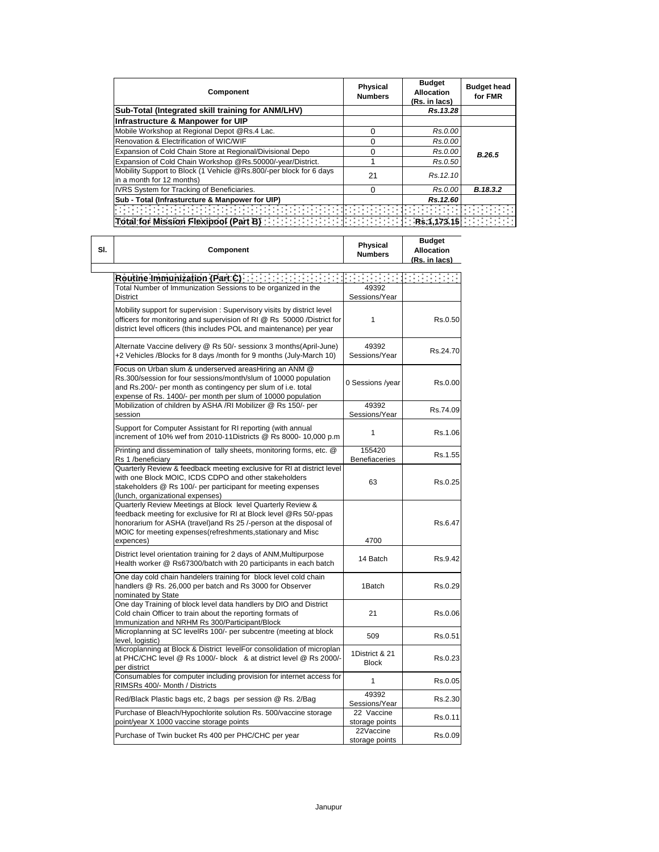| Component                                                                                       | <b>Physical</b><br><b>Numbers</b>       | <b>Budget</b><br><b>Allocation</b><br>(Rs. in lacs) | <b>Budget head</b><br>for FMR |
|-------------------------------------------------------------------------------------------------|-----------------------------------------|-----------------------------------------------------|-------------------------------|
| Sub-Total (Integrated skill training for ANM/LHV)                                               |                                         | Rs.13.28                                            |                               |
| Infrastructure & Manpower for UIP                                                               |                                         |                                                     |                               |
| Mobile Workshop at Regional Depot @Rs.4 Lac.                                                    | 0                                       | Rs.0.00                                             |                               |
| Renovation & Electrification of WIC/WIF                                                         | 0                                       | Rs.0.00                                             |                               |
| Expansion of Cold Chain Store at Regional/Divisional Depo                                       | 0                                       | Rs.0.00                                             | B.26.5                        |
| Expansion of Cold Chain Workshop @Rs.50000/-year/District.                                      |                                         | Rs.0.50                                             |                               |
| Mobility Support to Block (1 Vehicle @Rs.800/-per block for 6 days<br>in a month for 12 months) | 21                                      | Rs. 12.10                                           |                               |
| IVRS System for Tracking of Beneficiaries.                                                      | $\Omega$                                | Rs.0.00                                             | B.18.3.2                      |
| Sub - Total (Infrasturcture & Manpower for UIP)                                                 |                                         | Rs.12.60                                            |                               |
|                                                                                                 |                                         |                                                     |                               |
| Total for Mission Flexipool (Part B)                                                            | $\ \cdot\ $ : $\ \cdot\ $ : Rs.1,173.15 |                                                     |                               |

| Component |                                                                                                                                                                                                                                                                                    | Physical<br><b>Numbers</b>     | <b>Budget</b><br><b>Allocation</b><br>(Rs. in lacs) |
|-----------|------------------------------------------------------------------------------------------------------------------------------------------------------------------------------------------------------------------------------------------------------------------------------------|--------------------------------|-----------------------------------------------------|
|           | Routine Immunization (Part.C) [11] [11] [11] [11] [11]                                                                                                                                                                                                                             |                                |                                                     |
|           | Total Number of Immunization Sessions to be organized in the<br><b>District</b>                                                                                                                                                                                                    | 49392<br>Sessions/Year         |                                                     |
|           | Mobility support for supervision : Supervisory visits by district level<br>officers for monitoring and supervision of RI @ Rs 50000 / District for<br>district level officers (this includes POL and maintenance) per year                                                         | 1                              | Rs.0.50                                             |
|           | Alternate Vaccine delivery @ Rs 50/- sessionx 3 months(April-June)<br>+2 Vehicles /Blocks for 8 days /month for 9 months (July-March 10)                                                                                                                                           | 49392<br>Sessions/Year         | Rs.24.70                                            |
|           | Focus on Urban slum & underserved areasHiring an ANM @<br>Rs.300/session for four sessions/month/slum of 10000 population<br>and Rs.200/- per month as contingency per slum of i.e. total<br>expense of Rs. 1400/- per month per slum of 10000 population                          | 0 Sessions /year               | Rs.0.00                                             |
|           | Mobilization of children by ASHA /RI Mobilizer @ Rs 150/- per<br>session                                                                                                                                                                                                           | 49392<br>Sessions/Year         | Rs.74.09                                            |
|           | Support for Computer Assistant for RI reporting (with annual<br>increment of 10% wef from 2010-11Districts @ Rs 8000- 10,000 p.m                                                                                                                                                   | 1                              | Rs.1.06                                             |
|           | Printing and dissemination of tally sheets, monitoring forms, etc. @<br>Rs 1 /beneficiary                                                                                                                                                                                          | 155420<br><b>Benefiaceries</b> | Rs.1.55                                             |
|           | Quarterly Review & feedback meeting exclusive for RI at district level<br>with one Block MOIC, ICDS CDPO and other stakeholders<br>stakeholders @ Rs 100/- per participant for meeting expenses<br>(lunch, organizational expenses)                                                | 63                             | Rs.0.25                                             |
|           | Quarterly Review Meetings at Block level Quarterly Review &<br>feedback meeting for exclusive for RI at Block level @Rs 50/-ppas<br>honorarium for ASHA (travel) and Rs 25 /-person at the disposal of<br>MOIC for meeting expenses(refreshments, stationary and Misc<br>expences) | 4700                           | Rs.6.47                                             |
|           | District level orientation training for 2 days of ANM, Multipurpose<br>Health worker @ Rs67300/batch with 20 participants in each batch                                                                                                                                            | 14 Batch                       | Rs.9.42                                             |
|           | One day cold chain handelers training for block level cold chain<br>handlers @ Rs. 26,000 per batch and Rs 3000 for Observer<br>nominated by State                                                                                                                                 | 1Batch                         | Rs.0.29                                             |
|           | One day Training of block level data handlers by DIO and District<br>Cold chain Officer to train about the reporting formats of<br>Immunization and NRHM Rs 300/Participant/Block                                                                                                  | 21                             | Rs.0.06                                             |
|           | Microplanning at SC levelRs 100/- per subcentre (meeting at block<br>level, logistic)                                                                                                                                                                                              | 509                            | Rs.0.51                                             |
|           | Microplanning at Block & District levelFor consolidation of microplan<br>at PHC/CHC level @ Rs 1000/- block & at district level @ Rs 2000/-<br>per district                                                                                                                        | 1District & 21<br><b>Block</b> | Rs.0.23                                             |
|           | Consumables for computer including provision for internet access for<br>RIMSRs 400/- Month / Districts                                                                                                                                                                             | 1                              | Rs.0.05                                             |
|           | Red/Black Plastic bags etc, 2 bags per session @ Rs. 2/Bag                                                                                                                                                                                                                         | 49392<br>Sessions/Year         | Rs.2.30                                             |
|           | Purchase of Bleach/Hypochlorite solution Rs. 500/vaccine storage<br>point/year X 1000 vaccine storage points                                                                                                                                                                       | 22 Vaccine<br>storage points   | Rs.0.11                                             |
|           | Purchase of Twin bucket Rs 400 per PHC/CHC per year                                                                                                                                                                                                                                | 22Vaccine<br>storage points    | Rs.0.09                                             |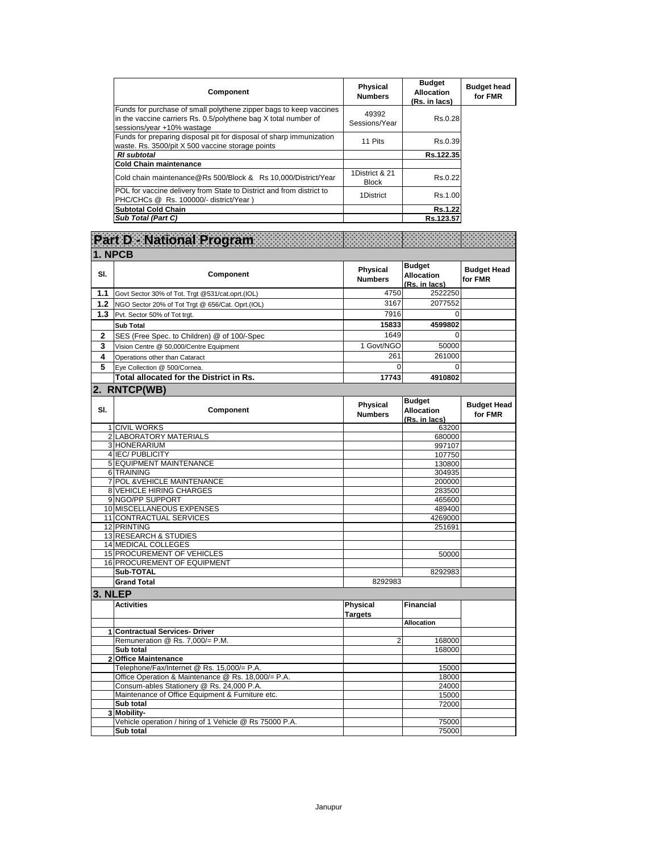| Component                                                                                                                                                           | <b>Physical</b><br><b>Numbers</b> | <b>Budget</b><br><b>Allocation</b><br>(Rs. in lacs) | <b>Budget head</b><br>for FMR |
|---------------------------------------------------------------------------------------------------------------------------------------------------------------------|-----------------------------------|-----------------------------------------------------|-------------------------------|
| Funds for purchase of small polythene zipper bags to keep vaccines<br>in the vaccine carriers Rs. 0.5/polythene bag X total number of<br>sessions/year +10% wastage | 49392<br>Sessions/Year            | Rs.0.28                                             |                               |
| Funds for preparing disposal pit for disposal of sharp immunization<br>waste. Rs. 3500/pit X 500 vaccine storage points                                             | 11 Pits                           | Rs.0.39                                             |                               |
| <b>RI</b> subtotal                                                                                                                                                  |                                   | Rs.122.35                                           |                               |
| <b>ICold Chain maintenance</b>                                                                                                                                      |                                   |                                                     |                               |
| Cold chain maintenance@Rs 500/Block & Rs 10,000/District/Year                                                                                                       | 1District & 21<br><b>Block</b>    | Rs.0.22                                             |                               |
| POL for vaccine delivery from State to District and from district to<br>PHC/CHCs @ Rs. 100000/- district/Year)                                                      | 1District                         | Rs.1.00                                             |                               |
| <b>Subtotal Cold Chain</b>                                                                                                                                          |                                   | Rs.1.22                                             |                               |
| <b>Sub Total (Part C)</b>                                                                                                                                           |                                   | Rs.123.57                                           |                               |

|                | 1. NPCB                                                 |                                   |                                                     |                               |
|----------------|---------------------------------------------------------|-----------------------------------|-----------------------------------------------------|-------------------------------|
| SI.            | Component                                               | <b>Physical</b><br><b>Numbers</b> | <b>Budget</b><br><b>Allocation</b><br>(Rs. in lacs) | <b>Budget Head</b><br>for FMR |
| 1.1            | Govt Sector 30% of Tot. Trgt @531/cat.oprt.(IOL)        | 4750                              | 2522250                                             |                               |
| 1.2            | NGO Sector 20% of Tot Trgt @ 656/Cat. Oprt.(IOL)        | 3167                              | 2077552                                             |                               |
| 1.3            | Pvt. Sector 50% of Tot trgt.                            | 7916                              | $\Omega$                                            |                               |
|                |                                                         | 15833                             | 4599802                                             |                               |
|                | Sub Total                                               |                                   |                                                     |                               |
| $\overline{2}$ | SES (Free Spec. to Children) @ of 100/-Spec             | 1649                              | $\Omega$                                            |                               |
| 3              | Vision Centre @ 50,000/Centre Equipment                 | 1 Govt/NGO                        | 50000                                               |                               |
| 4              | Operations other than Cataract                          | 261                               | 261000                                              |                               |
| 5              | Eve Collection @ 500/Cornea.                            | $\Omega$                          | $\Omega$                                            |                               |
|                | Total allocated for the District in Rs.                 | 17743                             | 4910802                                             |                               |
|                |                                                         |                                   |                                                     |                               |
|                | 2. RNTCP(WB)                                            |                                   |                                                     |                               |
| SI.            | <b>Component</b>                                        | <b>Physical</b><br><b>Numbers</b> | <b>Budget</b><br><b>Allocation</b><br>(Rs. in lacs) | <b>Budget Head</b><br>for FMR |
|                | 1 CIVIL WORKS                                           |                                   | 63200                                               |                               |
|                | 2 LABORATORY MATERIALS                                  |                                   | 680000                                              |                               |
|                | 3 HONERARIUM                                            |                                   | 997107                                              |                               |
|                | 4 IEC/ PUBLICITY                                        |                                   | 107750                                              |                               |
|                | 5 EQUIPMENT MAINTENANCE                                 |                                   | 130800                                              |                               |
|                | 6 TRAINING                                              |                                   | 304935                                              |                               |
|                | 7 POL & VEHICLE MAINTENANCE                             |                                   | 200000                                              |                               |
|                | <b>8 VEHICLE HIRING CHARGES</b>                         |                                   | 283500                                              |                               |
|                | 9 NGO/PP SUPPORT                                        |                                   | 465600                                              |                               |
|                | 10 MISCELLANEOUS EXPENSES                               |                                   | 489400                                              |                               |
|                | 11 CONTRACTUAL SERVICES                                 |                                   | 4269000                                             |                               |
|                | 12 PRINTING                                             |                                   | 251691                                              |                               |
|                | 13 RESEARCH & STUDIES                                   |                                   |                                                     |                               |
|                | 14 MEDICAL COLLEGES                                     |                                   |                                                     |                               |
|                | <b>15 PROCUREMENT OF VEHICLES</b>                       |                                   | 50000                                               |                               |
|                | 16 PROCUREMENT OF EQUIPMENT                             |                                   |                                                     |                               |
|                | Sub-TOTAL                                               |                                   | 8292983                                             |                               |
|                | <b>Grand Total</b>                                      | 8292983                           |                                                     |                               |
|                | 3. NLEP                                                 |                                   |                                                     |                               |
|                | <b>Activities</b>                                       | <b>Physical</b>                   | <b>Financial</b>                                    |                               |
|                |                                                         | <b>Targets</b>                    |                                                     |                               |
|                |                                                         |                                   | <b>Allocation</b>                                   |                               |
|                | 1 Contractual Services- Driver                          |                                   |                                                     |                               |
|                | Remuneration @ Rs. 7,000/= P.M.                         | $\overline{2}$                    | 168000                                              |                               |
|                | Sub total                                               |                                   | 168000                                              |                               |
|                | 2 Office Maintenance                                    |                                   |                                                     |                               |
|                | Telephone/Fax/Internet @ Rs. 15,000/= P.A.              |                                   | 15000                                               |                               |
|                | Office Operation & Maintenance @ Rs. 18,000/= P.A.      |                                   | 18000                                               |                               |
|                | Consum-ables Stationery @ Rs. 24,000 P.A.               |                                   | 24000                                               |                               |
|                | Maintenance of Office Equipment & Furniture etc.        |                                   | 15000                                               |                               |
|                | Sub total                                               |                                   | 72000                                               |                               |
|                | 3 Mobility-                                             |                                   |                                                     |                               |
|                | Vehicle operation / hiring of 1 Vehicle @ Rs 75000 P.A. |                                   | 75000                                               |                               |
|                | Sub total                                               |                                   | 75000                                               |                               |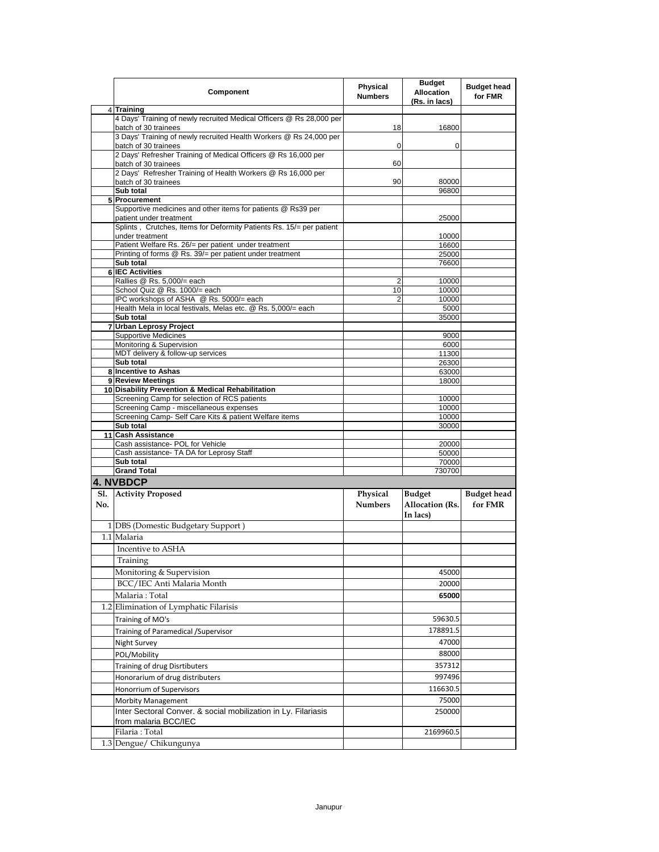|     | Component                                                                                    | Physical<br><b>Numbers</b> | <b>Budget</b><br><b>Allocation</b><br>(Rs. in lacs) | <b>Budget head</b><br>for FMR |
|-----|----------------------------------------------------------------------------------------------|----------------------------|-----------------------------------------------------|-------------------------------|
|     | 4 Training                                                                                   |                            |                                                     |                               |
|     | 4 Days' Training of newly recruited Medical Officers @ Rs 28,000 per<br>batch of 30 trainees | 18                         | 16800                                               |                               |
|     | 3 Days' Training of newly recruited Health Workers @ Rs 24,000 per<br>batch of 30 trainees   | 0                          | 0                                                   |                               |
|     | 2 Days' Refresher Training of Medical Officers @ Rs 16,000 per                               |                            |                                                     |                               |
|     | batch of 30 trainees                                                                         | 60                         |                                                     |                               |
|     | 2 Days' Refresher Training of Health Workers @ Rs 16,000 per                                 |                            |                                                     |                               |
|     | batch of 30 trainees<br>Sub total                                                            | 90                         | 80000<br>96800                                      |                               |
|     | 5 Procurement                                                                                |                            |                                                     |                               |
|     | Supportive medicines and other items for patients @ Rs39 per<br>patient under treatment      |                            | 25000                                               |                               |
|     | Splints, Crutches, Items for Deformity Patients Rs. 15/= per patient<br>under treatment      |                            | 10000                                               |                               |
|     | Patient Welfare Rs. 26/= per patient under treatment                                         |                            | 16600                                               |                               |
|     | Printing of forms @ Rs. 39/= per patient under treatment                                     |                            | 25000                                               |                               |
|     | Sub total                                                                                    |                            | 76600                                               |                               |
|     | <b>6 IEC Activities</b><br>Rallies @ Rs. 5,000/= each                                        | 2                          | 10000                                               |                               |
|     | School Quiz @ Rs. 1000/= each                                                                | 10                         | 10000                                               |                               |
|     | IPC workshops of ASHA @ Rs. 5000/= each                                                      | 2                          | 10000                                               |                               |
|     | Health Mela in local festivals, Melas etc. @ Rs. 5,000/= each                                |                            | 5000                                                |                               |
|     | Sub total                                                                                    |                            | 35000                                               |                               |
|     | 7 Urban Leprosy Project                                                                      |                            |                                                     |                               |
|     | <b>Supportive Medicines</b><br>Monitoring & Supervision                                      |                            | 9000<br>6000                                        |                               |
|     | MDT delivery & follow-up services                                                            |                            | 11300                                               |                               |
|     | Sub total                                                                                    |                            | 26300                                               |                               |
|     | 8 Incentive to Ashas                                                                         |                            | 63000                                               |                               |
|     | 9 Review Meetings                                                                            |                            | 18000                                               |                               |
|     | 10 Disability Prevention & Medical Rehabilitation                                            |                            |                                                     |                               |
|     | Screening Camp for selection of RCS patients<br>Screening Camp - miscellaneous expenses      |                            | 10000<br>10000                                      |                               |
|     | Screening Camp- Self Care Kits & patient Welfare items                                       |                            | 10000                                               |                               |
|     | Sub total                                                                                    |                            | 30000                                               |                               |
|     | 11 Cash Assistance                                                                           |                            |                                                     |                               |
|     | Cash assistance- POL for Vehicle                                                             |                            | 20000                                               |                               |
|     | Cash assistance- TA DA for Leprosy Staff                                                     |                            | 50000<br>70000                                      |                               |
|     | Sub total<br><b>Grand Total</b>                                                              |                            | 730700                                              |                               |
|     | <b>4. NVBDCP</b>                                                                             |                            |                                                     |                               |
| S1. | <b>Activity Proposed</b>                                                                     | Physical                   | <b>Budget</b>                                       | <b>Budget head</b>            |
| No. |                                                                                              | <b>Numbers</b>             | Allocation (Rs.<br>In lacs)                         | for FMR                       |
|     | 1 DBS (Domestic Budgetary Support)                                                           |                            |                                                     |                               |
|     | 1.1 Malaria                                                                                  |                            |                                                     |                               |
|     | Incentive to ASHA                                                                            |                            |                                                     |                               |
|     | Training                                                                                     |                            |                                                     |                               |
|     | Monitoring & Supervision                                                                     |                            |                                                     |                               |
|     |                                                                                              |                            | 45000                                               |                               |
|     | BCC/IEC Anti Malaria Month                                                                   |                            | 20000                                               |                               |
|     | Malaria: Total                                                                               |                            | 65000                                               |                               |
|     | 1.2 Elimination of Lymphatic Filarisis                                                       |                            |                                                     |                               |
|     | Training of MO's                                                                             |                            | 59630.5                                             |                               |
|     | Training of Paramedical / Supervisor                                                         |                            | 178891.5                                            |                               |
|     | Night Survey                                                                                 |                            | 47000                                               |                               |
|     | POL/Mobility                                                                                 |                            | 88000                                               |                               |
|     | Training of drug Disrtibuters                                                                |                            | 357312                                              |                               |
|     | Honorarium of drug distributers                                                              |                            | 997496                                              |                               |
|     | Honorrium of Supervisors                                                                     |                            | 116630.5                                            |                               |
|     |                                                                                              |                            |                                                     |                               |
|     | Morbity Management                                                                           |                            | 75000                                               |                               |
|     | Inter Sectoral Conver. & social mobilization in Ly. Filariasis<br>from malaria BCC/IEC       |                            | 250000                                              |                               |
|     | Filaria: Total                                                                               |                            | 2169960.5                                           |                               |
|     | 1.3 Dengue/ Chikungunya                                                                      |                            |                                                     |                               |